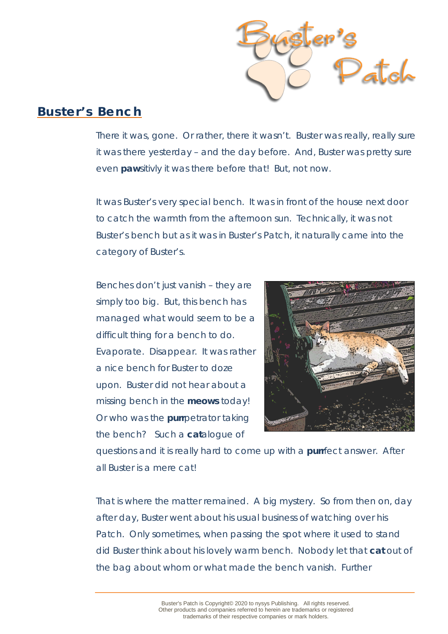

## **Buster's Bench**

There it was, gone. Or rather, there it wasn't. Buster was really, really sure it was there yesterday – and the day before. And, Buster was pretty sure even *paw*sitivly it was there before that! But, not now.

It was Buster's very special bench. It was in front of the house next door to catch the warmth from the afternoon sun. Technically, it was not Buster's bench but as it was in Buster's Patch, it naturally came into the category of Buster's.

Benches don't just vanish – they are simply too big. But, this bench has managed what would seem to be a difficult thing for a bench to do. Evaporate. Disappear. It was rather a nice bench for Buster to doze upon. Buster did not hear about a missing bench in the *meows* today! Or who was the *purr*petrator taking the bench? Such a *cat*alogue of



questions and it is really hard to come up with a *purr*fect answer. After all Buster is a mere cat!

That is where the matter remained. A big mystery. So from then on, day after day, Buster went about his usual business of watching over his Patch. Only sometimes, when passing the spot where it used to stand did Buster think about his lovely warm bench. Nobody let that *cat* out of the bag about whom or what made the bench vanish. Further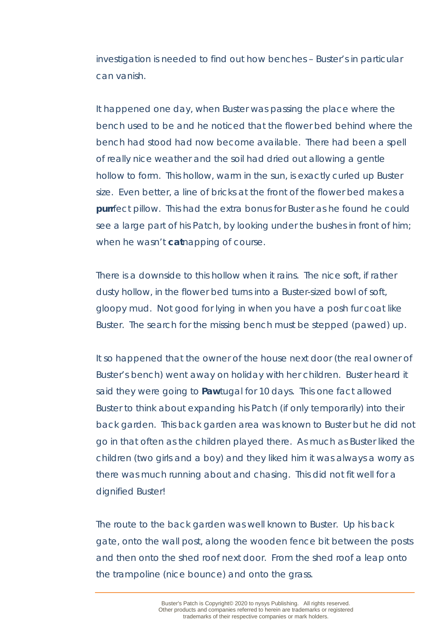investigation is needed to find out how benches – Buster's in particular can vanish.

It happened one day, when Buster was passing the place where the bench used to be and he noticed that the flower bed behind where the bench had stood had now become available. There had been a spell of really nice weather and the soil had dried out allowing a gentle hollow to form. This hollow, warm in the sun, is exactly curled up Buster size. Even better, a line of bricks at the front of the flower bed makes a **purrfect pillow.** This had the extra bonus for Buster as he found he could see a large part of his Patch, by looking under the bushes in front of him; when he wasn't *cat*napping of course.

There is a downside to this hollow when it rains. The nice soft, if rather dusty hollow, in the flower bed turns into a Buster-sized bowl of soft, gloopy mud. Not good for lying in when you have a posh fur coat like Buster. The search for the missing bench must be stepped (pawed) up.

It so happened that the owner of the house next door (the real owner of Buster's bench) went away on holiday with her children. Buster heard it said they were going to *Paw*tugal for 10 days. This one fact allowed Buster to think about expanding his Patch (if only temporarily) into their back garden. This back garden area was known to Buster but he did not go in that often as the children played there. As much as Buster liked the children (two girls and a boy) and they liked him it was always a worry as there was much running about and chasing. This did not fit well for a dignified Buster!

The route to the back garden was well known to Buster. Up his back gate, onto the wall post, along the wooden fence bit between the posts and then onto the shed roof next door. From the shed roof a leap onto the trampoline (nice bounce) and onto the grass.